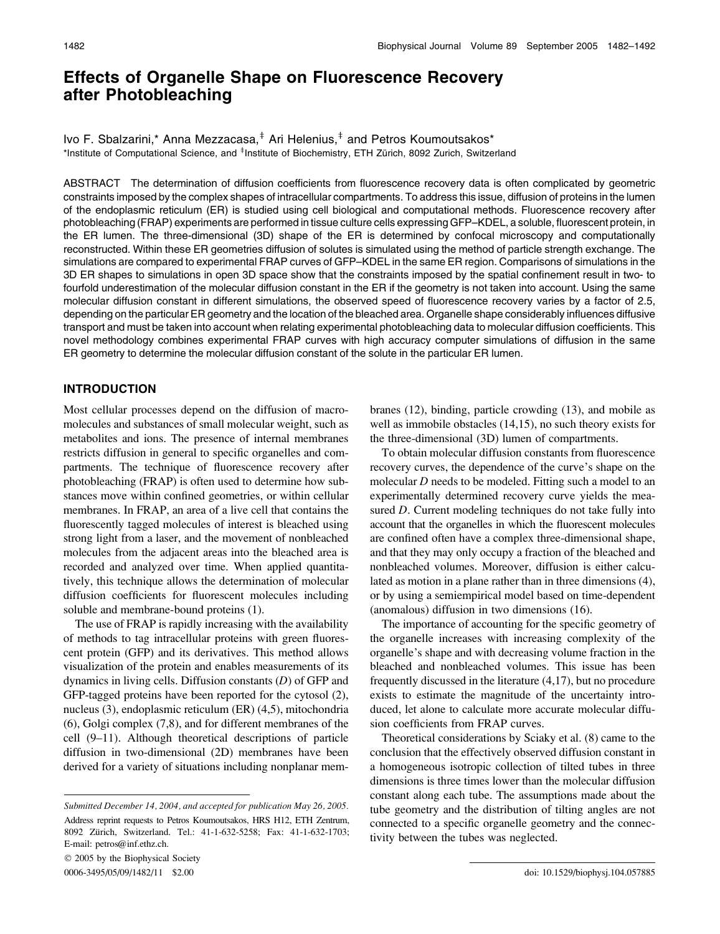# Effects of Organelle Shape on Fluorescence Recovery after Photobleaching

# Ivo F. Sbalzarini,\* Anna Mezzacasa, $^{\ddagger}$  Ari Helenius, $^{\ddagger}$  and Petros Koumoutsakos\* \*Institute of Computational Science, and <sup>‡</sup>Institute of Biochemistry, ETH Zürich, 8092 Zurich, Switzerland

ABSTRACT The determination of diffusion coefficients from fluorescence recovery data is often complicated by geometric constraints imposed by the complex shapes of intracellular compartments. To address this issue, diffusion of proteins in the lumen of the endoplasmic reticulum (ER) is studied using cell biological and computational methods. Fluorescence recovery after photobleaching (FRAP) experiments are performed in tissue culture cells expressing GFP–KDEL, a soluble, fluorescent protein, in the ER lumen. The three-dimensional (3D) shape of the ER is determined by confocal microscopy and computationally reconstructed. Within these ER geometries diffusion of solutes is simulated using the method of particle strength exchange. The simulations are compared to experimental FRAP curves of GFP–KDEL in the same ER region. Comparisons of simulations in the 3D ER shapes to simulations in open 3D space show that the constraints imposed by the spatial confinement result in two- to fourfold underestimation of the molecular diffusion constant in the ER if the geometry is not taken into account. Using the same molecular diffusion constant in different simulations, the observed speed of fluorescence recovery varies by a factor of 2.5, depending on the particular ER geometry and the location of the bleached area. Organelle shape considerably influences diffusive transport and must be taken into account when relating experimental photobleaching data to molecular diffusion coefficients. This novel methodology combines experimental FRAP curves with high accuracy computer simulations of diffusion in the same ER geometry to determine the molecular diffusion constant of the solute in the particular ER lumen.

# INTRODUCTION

Most cellular processes depend on the diffusion of macromolecules and substances of small molecular weight, such as metabolites and ions. The presence of internal membranes restricts diffusion in general to specific organelles and compartments. The technique of fluorescence recovery after photobleaching (FRAP) is often used to determine how substances move within confined geometries, or within cellular membranes. In FRAP, an area of a live cell that contains the fluorescently tagged molecules of interest is bleached using strong light from a laser, and the movement of nonbleached molecules from the adjacent areas into the bleached area is recorded and analyzed over time. When applied quantitatively, this technique allows the determination of molecular diffusion coefficients for fluorescent molecules including soluble and membrane-bound proteins (1).

The use of FRAP is rapidly increasing with the availability of methods to tag intracellular proteins with green fluorescent protein (GFP) and its derivatives. This method allows visualization of the protein and enables measurements of its dynamics in living cells. Diffusion constants (D) of GFP and GFP-tagged proteins have been reported for the cytosol (2), nucleus (3), endoplasmic reticulum (ER) (4,5), mitochondria (6), Golgi complex (7,8), and for different membranes of the cell (9–11). Although theoretical descriptions of particle diffusion in two-dimensional (2D) membranes have been derived for a variety of situations including nonplanar mem-

2005 by the Biophysical Society

0006-3495/05/09/1482/11 \$2.00 doi: 10.1529/biophysj.104.057885

branes (12), binding, particle crowding (13), and mobile as well as immobile obstacles (14,15), no such theory exists for the three-dimensional (3D) lumen of compartments.

To obtain molecular diffusion constants from fluorescence recovery curves, the dependence of the curve's shape on the molecular D needs to be modeled. Fitting such a model to an experimentally determined recovery curve yields the measured D. Current modeling techniques do not take fully into account that the organelles in which the fluorescent molecules are confined often have a complex three-dimensional shape, and that they may only occupy a fraction of the bleached and nonbleached volumes. Moreover, diffusion is either calculated as motion in a plane rather than in three dimensions (4), or by using a semiempirical model based on time-dependent (anomalous) diffusion in two dimensions (16).

The importance of accounting for the specific geometry of the organelle increases with increasing complexity of the organelle's shape and with decreasing volume fraction in the bleached and nonbleached volumes. This issue has been frequently discussed in the literature (4,17), but no procedure exists to estimate the magnitude of the uncertainty introduced, let alone to calculate more accurate molecular diffusion coefficients from FRAP curves.

Theoretical considerations by Sciaky et al. (8) came to the conclusion that the effectively observed diffusion constant in a homogeneous isotropic collection of tilted tubes in three dimensions is three times lower than the molecular diffusion constant along each tube. The assumptions made about the tube geometry and the distribution of tilting angles are not connected to a specific organelle geometry and the connectivity between the tubes was neglected.

Submitted December 14, 2004, and accepted for publication May 26, 2005. Address reprint requests to Petros Koumoutsakos, HRS H12, ETH Zentrum, 8092 Zürich, Switzerland. Tel.: 41-1-632-5258; Fax: 41-1-632-1703; E-mail: petros@inf.ethz.ch.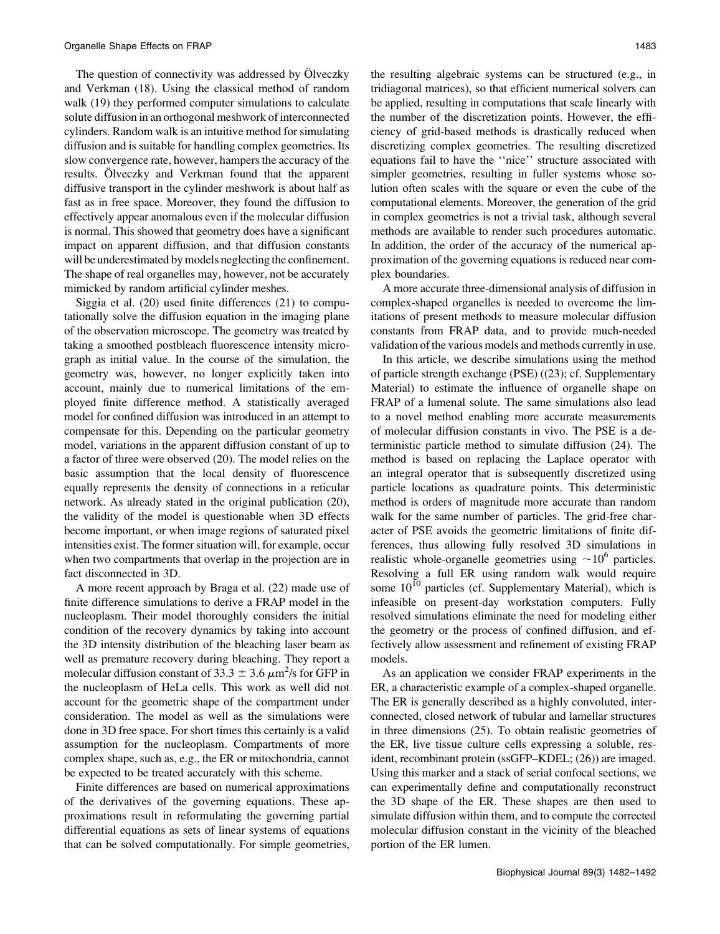The question of connectivity was addressed by Olveczky and Verkman (18). Using the classical method of random walk (19) they performed computer simulations to calculate solute diffusion in an orthogonal meshwork of interconnected cylinders. Random walk is an intuitive method for simulating diffusion and is suitable for handling complex geometries. Its slow convergence rate, however, hampers the accuracy of the results. Ölveczky and Verkman found that the apparent diffusive transport in the cylinder meshwork is about half as fast as in free space. Moreover, they found the diffusion to effectively appear anomalous even if the molecular diffusion is normal. This showed that geometry does have a significant impact on apparent diffusion, and that diffusion constants will be underestimated by models neglecting the confinement. The shape of real organelles may, however, not be accurately mimicked by random artificial cylinder meshes.

Siggia et al. (20) used finite differences (21) to computationally solve the diffusion equation in the imaging plane of the observation microscope. The geometry was treated by taking a smoothed postbleach fluorescence intensity micrograph as initial value. In the course of the simulation, the geometry was, however, no longer explicitly taken into account, mainly due to numerical limitations of the employed finite difference method. A statistically averaged model for confined diffusion was introduced in an attempt to compensate for this. Depending on the particular geometry model, variations in the apparent diffusion constant of up to a factor of three were observed (20). The model relies on the basic assumption that the local density of fluorescence equally represents the density of connections in a reticular network. As already stated in the original publication (20), the validity of the model is questionable when 3D effects become important, or when image regions of saturated pixel intensities exist. The former situation will, for example, occur when two compartments that overlap in the projection are in fact disconnected in 3D.

A more recent approach by Braga et al. (22) made use of finite difference simulations to derive a FRAP model in the nucleoplasm. Their model thoroughly considers the initial condition of the recovery dynamics by taking into account the 3D intensity distribution of the bleaching laser beam as well as premature recovery during bleaching. They report a molecular diffusion constant of 33.3  $\pm$  3.6  $\mu$ m<sup>2</sup>/s for GFP in the nucleoplasm of HeLa cells. This work as well did not account for the geometric shape of the compartment under consideration. The model as well as the simulations were done in 3D free space. For short times this certainly is a valid assumption for the nucleoplasm. Compartments of more complex shape, such as, e.g., the ER or mitochondria, cannot be expected to be treated accurately with this scheme.

Finite differences are based on numerical approximations of the derivatives of the governing equations. These approximations result in reformulating the governing partial differential equations as sets of linear systems of equations that can be solved computationally. For simple geometries,

the resulting algebraic systems can be structured (e.g., in tridiagonal matrices), so that efficient numerical solvers can be applied, resulting in computations that scale linearly with the number of the discretization points. However, the efficiency of grid-based methods is drastically reduced when discretizing complex geometries. The resulting discretized equations fail to have the ''nice'' structure associated with simpler geometries, resulting in fuller systems whose solution often scales with the square or even the cube of the computational elements. Moreover, the generation of the grid in complex geometries is not a trivial task, although several methods are available to render such procedures automatic. In addition, the order of the accuracy of the numerical approximation of the governing equations is reduced near complex boundaries.

A more accurate three-dimensional analysis of diffusion in complex-shaped organelles is needed to overcome the limitations of present methods to measure molecular diffusion constants from FRAP data, and to provide much-needed validation of the various models and methods currently in use.

In this article, we describe simulations using the method of particle strength exchange (PSE) ((23); cf. Supplementary Material) to estimate the influence of organelle shape on FRAP of a lumenal solute. The same simulations also lead to a novel method enabling more accurate measurements of molecular diffusion constants in vivo. The PSE is a deterministic particle method to simulate diffusion (24). The method is based on replacing the Laplace operator with an integral operator that is subsequently discretized using particle locations as quadrature points. This deterministic method is orders of magnitude more accurate than random walk for the same number of particles. The grid-free character of PSE avoids the geometric limitations of finite differences, thus allowing fully resolved 3D simulations in realistic whole-organelle geometries using  $\sim$ 10<sup>6</sup> particles. Resolving a full ER using random walk would require some  $10^{10}$  particles (cf. Supplementary Material), which is infeasible on present-day workstation computers. Fully resolved simulations eliminate the need for modeling either the geometry or the process of confined diffusion, and effectively allow assessment and refinement of existing FRAP models.

As an application we consider FRAP experiments in the ER, a characteristic example of a complex-shaped organelle. The ER is generally described as a highly convoluted, interconnected, closed network of tubular and lamellar structures in three dimensions (25). To obtain realistic geometries of the ER, live tissue culture cells expressing a soluble, resident, recombinant protein (ssGFP–KDEL; (26)) are imaged. Using this marker and a stack of serial confocal sections, we can experimentally define and computationally reconstruct the 3D shape of the ER. These shapes are then used to simulate diffusion within them, and to compute the corrected molecular diffusion constant in the vicinity of the bleached portion of the ER lumen.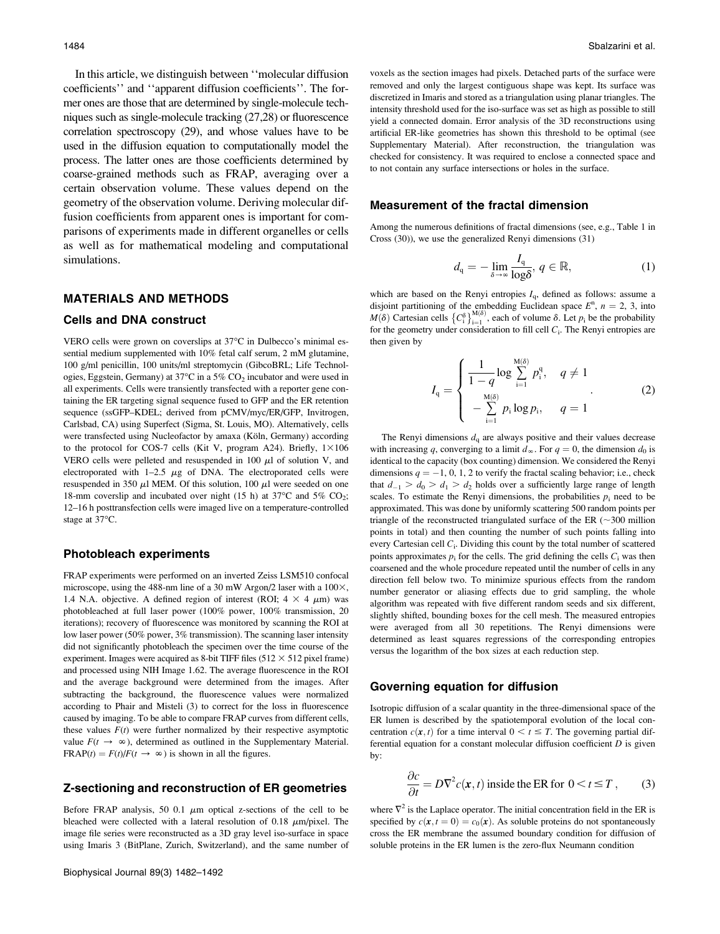In this article, we distinguish between ''molecular diffusion coefficients'' and ''apparent diffusion coefficients''. The former ones are those that are determined by single-molecule techniques such as single-molecule tracking (27,28) or fluorescence correlation spectroscopy (29), and whose values have to be used in the diffusion equation to computationally model the process. The latter ones are those coefficients determined by coarse-grained methods such as FRAP, averaging over a certain observation volume. These values depend on the geometry of the observation volume. Deriving molecular diffusion coefficients from apparent ones is important for comparisons of experiments made in different organelles or cells as well as for mathematical modeling and computational simulations.

## MATERIALS AND METHODS

#### Cells and DNA construct

VERO cells were grown on coverslips at 37°C in Dulbecco's minimal essential medium supplemented with 10% fetal calf serum, 2 mM glutamine, 100 g/ml penicillin, 100 units/ml streptomycin (GibcoBRL; Life Technologies, Eggstein, Germany) at 37°C in a 5% CO<sub>2</sub> incubator and were used in all experiments. Cells were transiently transfected with a reporter gene containing the ER targeting signal sequence fused to GFP and the ER retention sequence (ssGFP–KDEL; derived from pCMV/myc/ER/GFP, Invitrogen, Carlsbad, CA) using Superfect (Sigma, St. Louis, MO). Alternatively, cells were transfected using Nucleofactor by amaxa (Köln, Germany) according to the protocol for COS-7 cells (Kit V, program A24). Briefly,  $1 \times 106$ VERO cells were pelleted and resuspended in 100  $\mu$ l of solution V, and electroporated with  $1-2.5 \mu g$  of DNA. The electroporated cells were resuspended in 350  $\mu$ l MEM. Of this solution, 100  $\mu$ l were seeded on one 18-mm coverslip and incubated over night (15 h) at 37 $\degree$ C and 5% CO<sub>2</sub>; 12–16 h posttransfection cells were imaged live on a temperature-controlled stage at 37°C.

#### Photobleach experiments

FRAP experiments were performed on an inverted Zeiss LSM510 confocal microscope, using the 488-nm line of a 30 mW Argon/2 laser with a  $100\times$ , 1.4 N.A. objective. A defined region of interest (ROI;  $4 \times 4 \mu m$ ) was photobleached at full laser power (100% power, 100% transmission, 20 iterations); recovery of fluorescence was monitored by scanning the ROI at low laser power (50% power, 3% transmission). The scanning laser intensity did not significantly photobleach the specimen over the time course of the experiment. Images were acquired as 8-bit TIFF files  $(512 \times 512$  pixel frame) and processed using NIH Image 1.62. The average fluorescence in the ROI and the average background were determined from the images. After subtracting the background, the fluorescence values were normalized according to Phair and Misteli (3) to correct for the loss in fluorescence caused by imaging. To be able to compare FRAP curves from different cells, these values  $F(t)$  were further normalized by their respective asymptotic value  $F(t \rightarrow \infty)$ , determined as outlined in the Supplementary Material.  $FRAP(t) = F(t)/F(t \rightarrow \infty)$  is shown in all the figures.

#### Z-sectioning and reconstruction of ER geometries

Before FRAP analysis, 50 0.1  $\mu$ m optical z-sections of the cell to be bleached were collected with a lateral resolution of 0.18  $\mu$ m/pixel. The image file series were reconstructed as a 3D gray level iso-surface in space using Imaris 3 (BitPlane, Zurich, Switzerland), and the same number of voxels as the section images had pixels. Detached parts of the surface were removed and only the largest contiguous shape was kept. Its surface was discretized in Imaris and stored as a triangulation using planar triangles. The intensity threshold used for the iso-surface was set as high as possible to still yield a connected domain. Error analysis of the 3D reconstructions using artificial ER-like geometries has shown this threshold to be optimal (see Supplementary Material). After reconstruction, the triangulation was checked for consistency. It was required to enclose a connected space and to not contain any surface intersections or holes in the surface.

#### Measurement of the fractal dimension

Among the numerous definitions of fractal dimensions (see, e.g., Table 1 in Cross (30)), we use the generalized Renyi dimensions (31)

$$
d_{\mathbf{q}} = -\lim_{\delta \to \infty} \frac{I_{\mathbf{q}}}{\log \delta}, \, q \in \mathbb{R},\tag{1}
$$

which are based on the Renyi entropies  $I_q$ , defined as follows: assume a disjoint partitioning of the embedding Euclidean space  $E<sup>n</sup>$ ,  $n = 2, 3$ , into  $M(\delta)$  Cartesian cells  ${C_0^{\delta}}_{i=1}^{M(\delta)}$ , each of volume  $\delta$ . Let  $p_i$  be the probability for the geometry under consideration to fill cell  $C_i$ . The Renyi entropies are then given by

$$
I_{\mathbf{q}} = \begin{cases} \frac{1}{1-q} \log \sum_{i=1}^{M(\delta)} p_i^{\mathbf{q}}, & q \neq 1\\ -\sum_{i=1}^{M(\delta)} p_i \log p_i, & q = 1 \end{cases}
$$
(2)

The Renyi dimensions  $d_q$  are always positive and their values decrease with increasing q, converging to a limit  $d_{\infty}$ . For  $q = 0$ , the dimension  $d_0$  is identical to the capacity (box counting) dimension. We considered the Renyi dimensions  $q = -1, 0, 1, 2$  to verify the fractal scaling behavior; i.e., check that  $d_{-1} > d_0 > d_1 > d_2$  holds over a sufficiently large range of length scales. To estimate the Renyi dimensions, the probabilities  $p_i$  need to be approximated. This was done by uniformly scattering 500 random points per triangle of the reconstructed triangulated surface of the ER  $(\sim)300$  million points in total) and then counting the number of such points falling into every Cartesian cell  $C_i$ . Dividing this count by the total number of scattered points approximates  $p_i$  for the cells. The grid defining the cells  $C_i$  was then coarsened and the whole procedure repeated until the number of cells in any direction fell below two. To minimize spurious effects from the random number generator or aliasing effects due to grid sampling, the whole algorithm was repeated with five different random seeds and six different, slightly shifted, bounding boxes for the cell mesh. The measured entropies were averaged from all 30 repetitions. The Renyi dimensions were determined as least squares regressions of the corresponding entropies versus the logarithm of the box sizes at each reduction step.

## Governing equation for diffusion

Isotropic diffusion of a scalar quantity in the three-dimensional space of the ER lumen is described by the spatiotemporal evolution of the local concentration  $c(\mathbf{x}, t)$  for a time interval  $0 \le t \le T$ . The governing partial differential equation for a constant molecular diffusion coefficient  $D$  is given by:

$$
\frac{\partial c}{\partial t} = D\nabla^2 c(\mathbf{x}, t)
$$
 inside the ER for  $0 < t \le T$ , (3)

where  $\nabla^2$  is the Laplace operator. The initial concentration field in the ER is specified by  $c(\mathbf{x}, t = 0) = c_0(\mathbf{x})$ . As soluble proteins do not spontaneously cross the ER membrane the assumed boundary condition for diffusion of soluble proteins in the ER lumen is the zero-flux Neumann condition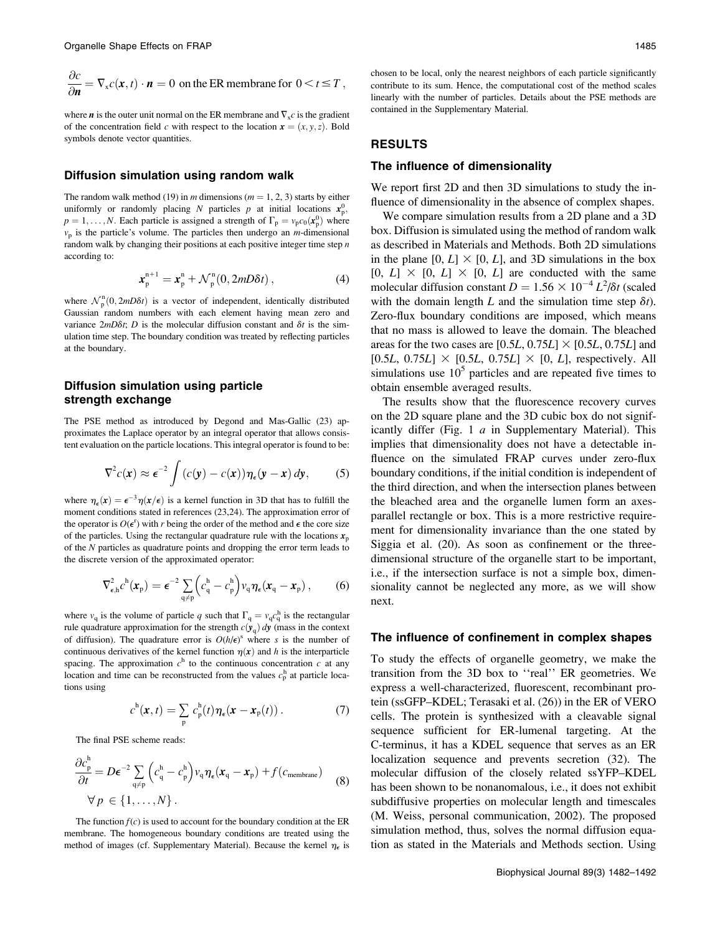$$
\frac{\partial c}{\partial \mathbf{n}} = \nabla_{\mathbf{x}} c(\mathbf{x}, t) \cdot \mathbf{n} = 0
$$
 on the ER membrane for  $0 < t \le T$ ,

where *n* is the outer unit normal on the ER membrane and  $\nabla_x c$  is the gradient of the concentration field c with respect to the location  $\mathbf{x} = (x, y, z)$ . Bold symbols denote vector quantities.

#### Diffusion simulation using random walk

The random walk method (19) in m dimensions ( $m = 1, 2, 3$ ) starts by either uniformly or randomly placing N particles p at initial locations  $\mathbf{x}_p^0$ ,  $p = 1, \ldots, N$ . Each particle is assigned a strength of  $\Gamma_p = v_p c_0(\mathbf{x}_p^0)$  where  $v_p$  is the particle's volume. The particles then undergo an *m*-dimensional random walk by changing their positions at each positive integer time step  $n$ according to:

$$
x_{p}^{n+1} = x_{p}^{n} + \mathcal{N}_{p}^{n}(0, 2mD\delta t), \qquad (4)
$$

where  $\mathcal{N}_p^n(0, 2mD\delta t)$  is a vector of independent, identically distributed Gaussian random numbers with each element having mean zero and variance  $2mD\delta t$ ; *D* is the molecular diffusion constant and  $\delta t$  is the simulation time step. The boundary condition was treated by reflecting particles at the boundary.

# Diffusion simulation using particle strength exchange

The PSE method as introduced by Degond and Mas-Gallic (23) approximates the Laplace operator by an integral operator that allows consistent evaluation on the particle locations. This integral operator is found to be:

$$
\nabla^2 c(\mathbf{x}) \approx \epsilon^{-2} \int (c(\mathbf{y}) - c(\mathbf{x})) \eta_{\epsilon}(\mathbf{y} - \mathbf{x}) d\mathbf{y}, \qquad (5)
$$

where  $\eta_{\epsilon}(\mathbf{x})=\epsilon^{-3}\eta(\mathbf{x}/\epsilon)$  is a kernel function in 3D that has to fulfill the moment conditions stated in references (23,24). The approximation error of the operator is  $O(\epsilon^r)$  with r being the order of the method and  $\epsilon$  the core size of the particles. Using the rectangular quadrature rule with the locations  $x_p$ of the N particles as quadrature points and dropping the error term leads to the discrete version of the approximated operator:

$$
\nabla_{\epsilon,h}^2 c^h(\boldsymbol{x}_p) = \epsilon^{-2} \sum_{q \neq p} \left( c_q^h - c_p^h \right) v_q \eta_{\epsilon}(\boldsymbol{x}_q - \boldsymbol{x}_p) , \qquad (6)
$$

where  $v_q$  is the volume of particle q such that  $\Gamma_q = v_q c_q^h$  is the rectangular rule quadrature approximation for the strength  $c(y_q) dy$  (mass in the context of diffusion). The quadrature error is  $O(h/\epsilon)^s$  where s is the number of continuous derivatives of the kernel function  $\eta(x)$  and h is the interparticle spacing. The approximation  $c<sup>h</sup>$  to the continuous concentration c at any location and time can be reconstructed from the values  $c_p^{\text{h}}$  at particle locations using

$$
c^{\mathrm{h}}(\boldsymbol{x},t)=\sum_{\mathrm{p}}c_{\mathrm{p}}^{\mathrm{h}}(t)\boldsymbol{\eta}_{\epsilon}(\boldsymbol{x}-\boldsymbol{x}_{\mathrm{p}}(t)).\qquad(7)
$$

The final PSE scheme reads:

$$
\frac{\partial c_{\mathrm{p}}^{\mathrm{h}}}{\partial t} = D \epsilon^{-2} \sum_{\mathrm{q} \neq \mathrm{p}} \left( c_{\mathrm{q}}^{\mathrm{h}} - c_{\mathrm{p}}^{\mathrm{h}} \right) v_{\mathrm{q}} \eta_{\epsilon} (\mathbf{x}_{\mathrm{q}} - \mathbf{x}_{\mathrm{p}}) + f(c_{\mathrm{membrane}}) \quad (8)
$$
  

$$
\forall p \in \{1, \ldots, N\}.
$$

The function  $f(c)$  is used to account for the boundary condition at the ER membrane. The homogeneous boundary conditions are treated using the method of images (cf. Supplementary Material). Because the kernel  $\eta_{\epsilon}$  is chosen to be local, only the nearest neighbors of each particle significantly contribute to its sum. Hence, the computational cost of the method scales linearly with the number of particles. Details about the PSE methods are contained in the Supplementary Material.

## RESULTS

## The influence of dimensionality

We report first 2D and then 3D simulations to study the influence of dimensionality in the absence of complex shapes.

We compare simulation results from a 2D plane and a 3D box. Diffusion is simulated using the method of random walk as described in Materials and Methods. Both 2D simulations in the plane  $[0, L] \times [0, L]$ , and 3D simulations in the box  $[0, L] \times [0, L] \times [0, L]$  are conducted with the same molecular diffusion constant  $D = 1.56 \times 10^{-4} L^2/\delta t$  (scaled with the domain length L and the simulation time step  $\delta t$ ). Zero-flux boundary conditions are imposed, which means that no mass is allowed to leave the domain. The bleached areas for the two cases are  $[0.5L, 0.75L] \times [0.5L, 0.75L]$  and  $[0.5L, 0.75L] \times [0.5L, 0.75L] \times [0, L]$ , respectively. All simulations use  $10<sup>5</sup>$  particles and are repeated five times to obtain ensemble averaged results.

The results show that the fluorescence recovery curves on the 2D square plane and the 3D cubic box do not significantly differ (Fig.  $1 \, a$  in Supplementary Material). This implies that dimensionality does not have a detectable influence on the simulated FRAP curves under zero-flux boundary conditions, if the initial condition is independent of the third direction, and when the intersection planes between the bleached area and the organelle lumen form an axesparallel rectangle or box. This is a more restrictive requirement for dimensionality invariance than the one stated by Siggia et al. (20). As soon as confinement or the threedimensional structure of the organelle start to be important, i.e., if the intersection surface is not a simple box, dimensionality cannot be neglected any more, as we will show next.

## The influence of confinement in complex shapes

To study the effects of organelle geometry, we make the transition from the 3D box to ''real'' ER geometries. We express a well-characterized, fluorescent, recombinant protein (ssGFP–KDEL; Terasaki et al. (26)) in the ER of VERO cells. The protein is synthesized with a cleavable signal sequence sufficient for ER-lumenal targeting. At the C-terminus, it has a KDEL sequence that serves as an ER localization sequence and prevents secretion (32). The molecular diffusion of the closely related ssYFP–KDEL has been shown to be nonanomalous, i.e., it does not exhibit subdiffusive properties on molecular length and timescales (M. Weiss, personal communication, 2002). The proposed simulation method, thus, solves the normal diffusion equation as stated in the Materials and Methods section. Using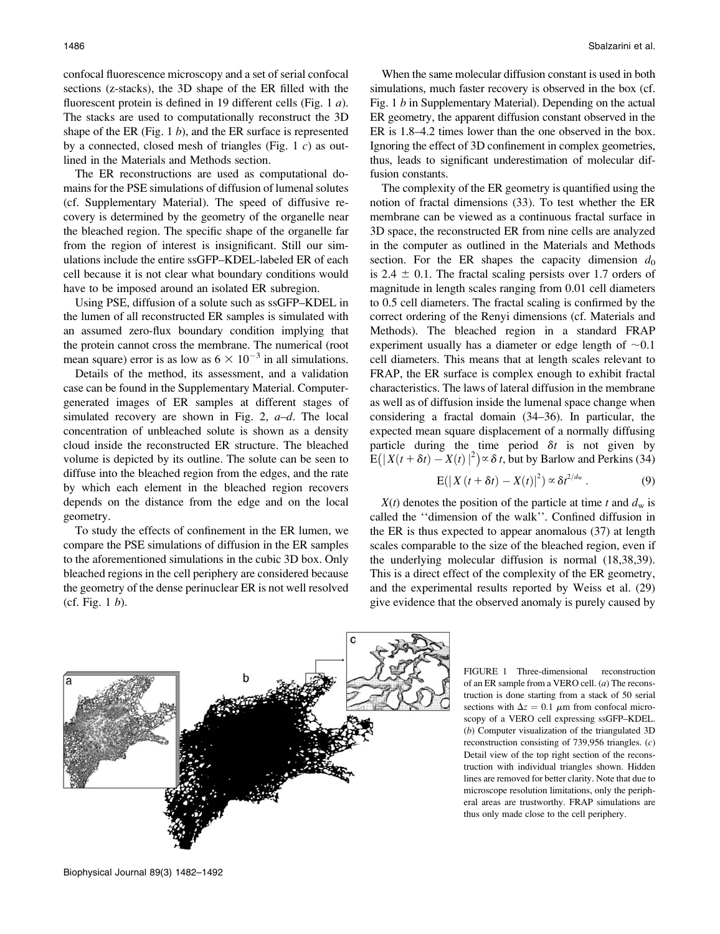confocal fluorescence microscopy and a set of serial confocal sections (z-stacks), the 3D shape of the ER filled with the fluorescent protein is defined in 19 different cells (Fig. 1 *a*). The stacks are used to computationally reconstruct the 3D shape of the ER (Fig. 1 $b$ ), and the ER surface is represented by a connected, closed mesh of triangles (Fig. 1  $c$ ) as outlined in the Materials and Methods section.

The ER reconstructions are used as computational domains for the PSE simulations of diffusion of lumenal solutes (cf. Supplementary Material). The speed of diffusive recovery is determined by the geometry of the organelle near the bleached region. The specific shape of the organelle far from the region of interest is insignificant. Still our simulations include the entire ssGFP–KDEL-labeled ER of each cell because it is not clear what boundary conditions would have to be imposed around an isolated ER subregion.

Using PSE, diffusion of a solute such as ssGFP–KDEL in the lumen of all reconstructed ER samples is simulated with an assumed zero-flux boundary condition implying that the protein cannot cross the membrane. The numerical (root mean square) error is as low as  $6 \times 10^{-3}$  in all simulations.

Details of the method, its assessment, and a validation case can be found in the Supplementary Material. Computergenerated images of ER samples at different stages of simulated recovery are shown in Fig. 2,  $a-d$ . The local concentration of unbleached solute is shown as a density cloud inside the reconstructed ER structure. The bleached volume is depicted by its outline. The solute can be seen to diffuse into the bleached region from the edges, and the rate by which each element in the bleached region recovers depends on the distance from the edge and on the local geometry.

To study the effects of confinement in the ER lumen, we compare the PSE simulations of diffusion in the ER samples to the aforementioned simulations in the cubic 3D box. Only bleached regions in the cell periphery are considered because the geometry of the dense perinuclear ER is not well resolved  $(cf. Fig. 1 b).$ 

When the same molecular diffusion constant is used in both simulations, much faster recovery is observed in the box (cf. Fig. 1 b in Supplementary Material). Depending on the actual ER geometry, the apparent diffusion constant observed in the ER is 1.8–4.2 times lower than the one observed in the box. Ignoring the effect of 3D confinement in complex geometries, thus, leads to significant underestimation of molecular diffusion constants.

The complexity of the ER geometry is quantified using the notion of fractal dimensions (33). To test whether the ER membrane can be viewed as a continuous fractal surface in 3D space, the reconstructed ER from nine cells are analyzed in the computer as outlined in the Materials and Methods section. For the ER shapes the capacity dimension  $d_0$ is 2.4  $\pm$  0.1. The fractal scaling persists over 1.7 orders of magnitude in length scales ranging from 0.01 cell diameters to 0.5 cell diameters. The fractal scaling is confirmed by the correct ordering of the Renyi dimensions (cf. Materials and Methods). The bleached region in a standard FRAP experiment usually has a diameter or edge length of  $\sim 0.1$ cell diameters. This means that at length scales relevant to FRAP, the ER surface is complex enough to exhibit fractal characteristics. The laws of lateral diffusion in the membrane as well as of diffusion inside the lumenal space change when considering a fractal domain (34–36). In particular, the expected mean square displacement of a normally diffusing particle during the time period  $\delta t$  is not given by  $E(|X(t + \delta t) - X(t)|^2) \propto \delta t$ , but by Barlow and Perkins (34)

$$
E(|X(t+\delta t)-X(t)|^2) \propto \delta t^{2/d_w} \,. \tag{9}
$$

 $X(t)$  denotes the position of the particle at time t and  $d_w$  is called the ''dimension of the walk''. Confined diffusion in the ER is thus expected to appear anomalous (37) at length scales comparable to the size of the bleached region, even if the underlying molecular diffusion is normal (18,38,39). This is a direct effect of the complexity of the ER geometry, and the experimental results reported by Weiss et al. (29) give evidence that the observed anomaly is purely caused by



FIGURE 1 Three-dimensional reconstruction of an ER sample from a VERO cell. (a) The reconstruction is done starting from a stack of 50 serial sections with  $\Delta z = 0.1 \mu m$  from confocal microscopy of a VERO cell expressing ssGFP–KDEL. (b) Computer visualization of the triangulated 3D reconstruction consisting of 739,956 triangles. (c) Detail view of the top right section of the reconstruction with individual triangles shown. Hidden lines are removed for better clarity. Note that due to microscope resolution limitations, only the peripheral areas are trustworthy. FRAP simulations are thus only made close to the cell periphery.

Biophysical Journal 89(3) 1482–1492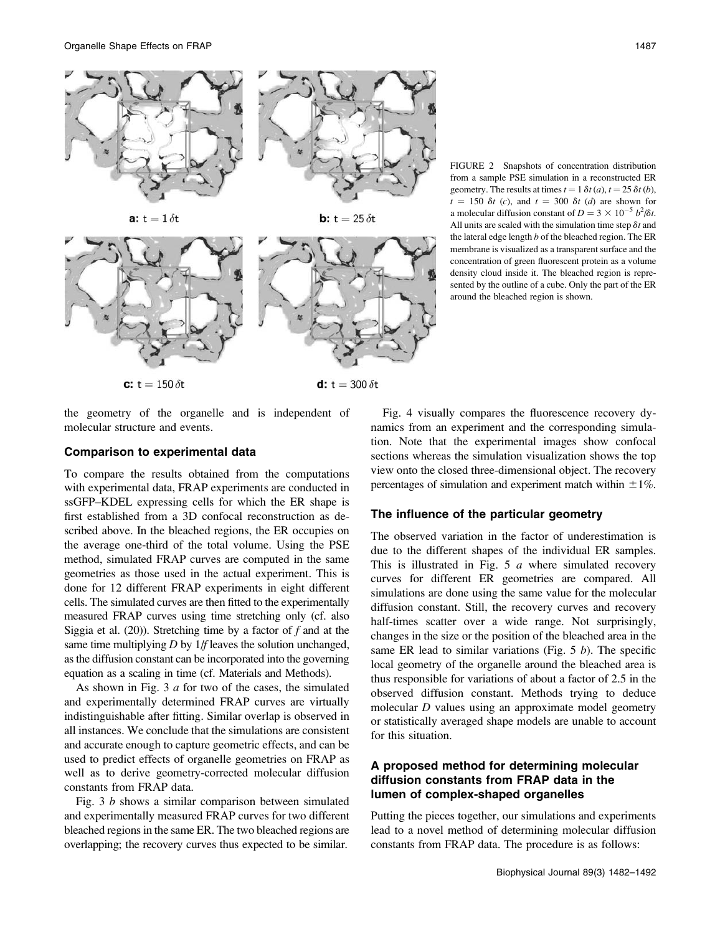

FIGURE 2 Snapshots of concentration distribution from a sample PSE simulation in a reconstructed ER geometry. The results at times  $t = 1 \delta t (a)$ ,  $t = 25 \delta t (b)$ ,  $t = 150$   $\delta t$  (c), and  $t = 300$   $\delta t$  (d) are shown for a molecular diffusion constant of  $D = 3 \times 10^{-5}$   $b^2/\delta t$ . All units are scaled with the simulation time step  $\delta t$  and the lateral edge length  $b$  of the bleached region. The ER membrane is visualized as a transparent surface and the concentration of green fluorescent protein as a volume density cloud inside it. The bleached region is represented by the outline of a cube. Only the part of the ER around the bleached region is shown.

the geometry of the organelle and is independent of molecular structure and events.

## Comparison to experimental data

To compare the results obtained from the computations with experimental data, FRAP experiments are conducted in ssGFP–KDEL expressing cells for which the ER shape is first established from a 3D confocal reconstruction as described above. In the bleached regions, the ER occupies on the average one-third of the total volume. Using the PSE method, simulated FRAP curves are computed in the same geometries as those used in the actual experiment. This is done for 12 different FRAP experiments in eight different cells. The simulated curves are then fitted to the experimentally measured FRAP curves using time stretching only (cf. also Siggia et al.  $(20)$ ). Stretching time by a factor of f and at the same time multiplying  $D$  by 1/f leaves the solution unchanged, as the diffusion constant can be incorporated into the governing equation as a scaling in time (cf. Materials and Methods).

As shown in Fig.  $3a$  for two of the cases, the simulated and experimentally determined FRAP curves are virtually indistinguishable after fitting. Similar overlap is observed in all instances. We conclude that the simulations are consistent and accurate enough to capture geometric effects, and can be used to predict effects of organelle geometries on FRAP as well as to derive geometry-corrected molecular diffusion constants from FRAP data.

Fig. 3 b shows a similar comparison between simulated and experimentally measured FRAP curves for two different bleached regions in the same ER. The two bleached regions are overlapping; the recovery curves thus expected to be similar.

Fig. 4 visually compares the fluorescence recovery dynamics from an experiment and the corresponding simulation. Note that the experimental images show confocal sections whereas the simulation visualization shows the top view onto the closed three-dimensional object. The recovery percentages of simulation and experiment match within  $\pm 1\%$ .

## The influence of the particular geometry

The observed variation in the factor of underestimation is due to the different shapes of the individual ER samples. This is illustrated in Fig.  $5\ a$  where simulated recovery curves for different ER geometries are compared. All simulations are done using the same value for the molecular diffusion constant. Still, the recovery curves and recovery half-times scatter over a wide range. Not surprisingly, changes in the size or the position of the bleached area in the same ER lead to similar variations (Fig.  $5\;b$ ). The specific local geometry of the organelle around the bleached area is thus responsible for variations of about a factor of 2.5 in the observed diffusion constant. Methods trying to deduce molecular D values using an approximate model geometry or statistically averaged shape models are unable to account for this situation.

# A proposed method for determining molecular diffusion constants from FRAP data in the lumen of complex-shaped organelles

Putting the pieces together, our simulations and experiments lead to a novel method of determining molecular diffusion constants from FRAP data. The procedure is as follows: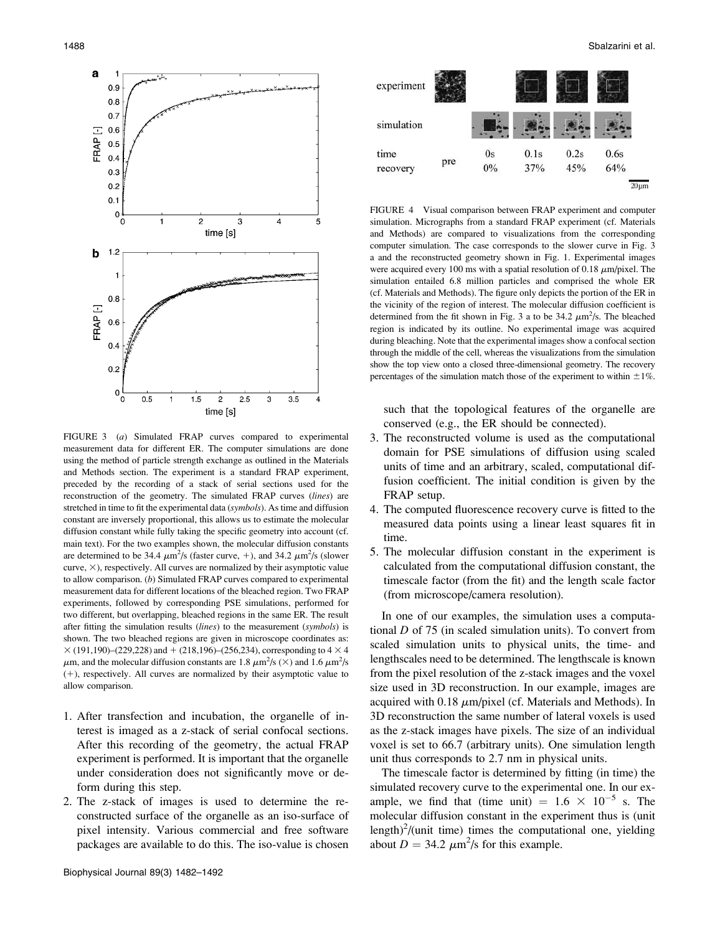

FIGURE 3 (a) Simulated FRAP curves compared to experimental measurement data for different ER. The computer simulations are done using the method of particle strength exchange as outlined in the Materials and Methods section. The experiment is a standard FRAP experiment, preceded by the recording of a stack of serial sections used for the reconstruction of the geometry. The simulated FRAP curves (lines) are stretched in time to fit the experimental data (symbols). As time and diffusion constant are inversely proportional, this allows us to estimate the molecular diffusion constant while fully taking the specific geometry into account (cf. main text). For the two examples shown, the molecular diffusion constants are determined to be 34.4  $\mu$ m<sup>2</sup>/s (faster curve, +), and 34.2  $\mu$ m<sup>2</sup>/s (slower curve,  $\times$ ), respectively. All curves are normalized by their asymptotic value to allow comparison. (b) Simulated FRAP curves compared to experimental measurement data for different locations of the bleached region. Two FRAP experiments, followed by corresponding PSE simulations, performed for two different, but overlapping, bleached regions in the same ER. The result after fitting the simulation results (lines) to the measurement (symbols) is shown. The two bleached regions are given in microscope coordinates as:  $\times$  (191,190)–(229,228) and + (218,196)–(256,234), corresponding to 4  $\times$  4  $\mu$ m, and the molecular diffusion constants are 1.8  $\mu$ m<sup>2</sup>/s ( $\times$ ) and 1.6  $\mu$ m<sup>2</sup>/s (1), respectively. All curves are normalized by their asymptotic value to allow comparison.

- 1. After transfection and incubation, the organelle of interest is imaged as a z-stack of serial confocal sections. After this recording of the geometry, the actual FRAP experiment is performed. It is important that the organelle under consideration does not significantly move or deform during this step.
- 2. The z-stack of images is used to determine the reconstructed surface of the organelle as an iso-surface of pixel intensity. Various commercial and free software packages are available to do this. The iso-value is chosen



FIGURE 4 Visual comparison between FRAP experiment and computer simulation. Micrographs from a standard FRAP experiment (cf. Materials and Methods) are compared to visualizations from the corresponding computer simulation. The case corresponds to the slower curve in Fig. 3 a and the reconstructed geometry shown in Fig. 1. Experimental images were acquired every 100 ms with a spatial resolution of 0.18  $\mu$ m/pixel. The simulation entailed 6.8 million particles and comprised the whole ER (cf. Materials and Methods). The figure only depicts the portion of the ER in the vicinity of the region of interest. The molecular diffusion coefficient is determined from the fit shown in Fig. 3 a to be 34.2  $\mu$ m<sup>2</sup>/s. The bleached region is indicated by its outline. No experimental image was acquired during bleaching. Note that the experimental images show a confocal section through the middle of the cell, whereas the visualizations from the simulation show the top view onto a closed three-dimensional geometry. The recovery percentages of the simulation match those of the experiment to within  $\pm 1\%$ .

such that the topological features of the organelle are conserved (e.g., the ER should be connected).

- 3. The reconstructed volume is used as the computational domain for PSE simulations of diffusion using scaled units of time and an arbitrary, scaled, computational diffusion coefficient. The initial condition is given by the FRAP setup.
- 4. The computed fluorescence recovery curve is fitted to the measured data points using a linear least squares fit in time.
- 5. The molecular diffusion constant in the experiment is calculated from the computational diffusion constant, the timescale factor (from the fit) and the length scale factor (from microscope/camera resolution).

In one of our examples, the simulation uses a computational D of 75 (in scaled simulation units). To convert from scaled simulation units to physical units, the time- and lengthscales need to be determined. The lengthscale is known from the pixel resolution of the z-stack images and the voxel size used in 3D reconstruction. In our example, images are acquired with  $0.18 \mu m/p$  ixel (cf. Materials and Methods). In 3D reconstruction the same number of lateral voxels is used as the z-stack images have pixels. The size of an individual voxel is set to 66.7 (arbitrary units). One simulation length unit thus corresponds to 2.7 nm in physical units.

The timescale factor is determined by fitting (in time) the simulated recovery curve to the experimental one. In our example, we find that (time unit) =  $1.6 \times 10^{-5}$  s. The molecular diffusion constant in the experiment thus is (unit length) $^{2}$ /(unit time) times the computational one, yielding about  $D = 34.2 \ \mu \text{m}^2/\text{s}$  for this example.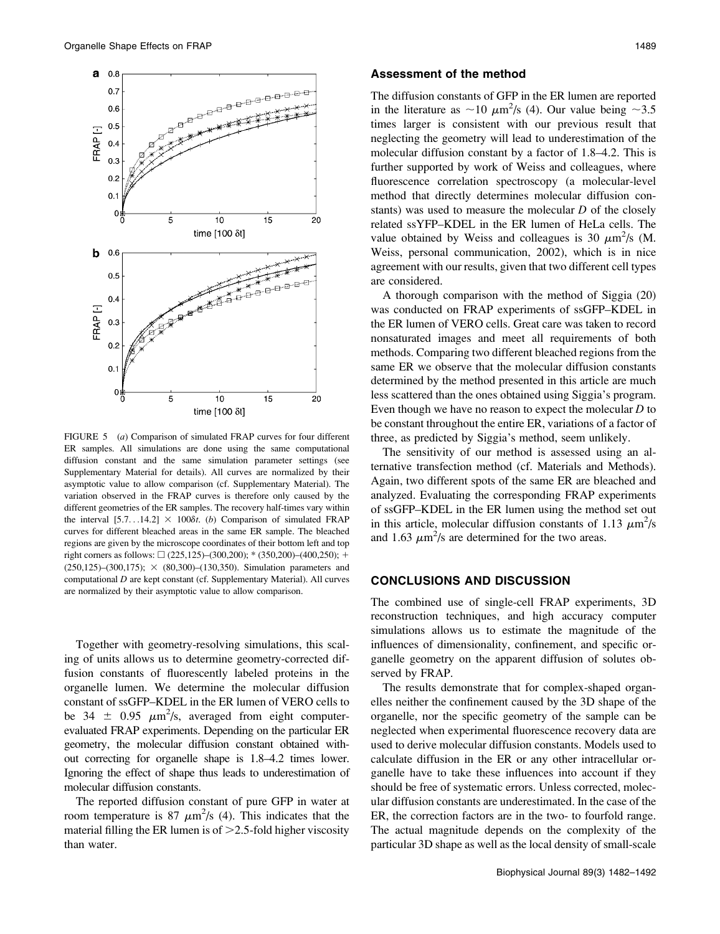

FIGURE 5 (a) Comparison of simulated FRAP curves for four different ER samples. All simulations are done using the same computational diffusion constant and the same simulation parameter settings (see Supplementary Material for details). All curves are normalized by their asymptotic value to allow comparison (cf. Supplementary Material). The variation observed in the FRAP curves is therefore only caused by the different geometries of the ER samples. The recovery half-times vary within the interval  $[5.7...14.2] \times 100\delta t$ . (b) Comparison of simulated FRAP curves for different bleached areas in the same ER sample. The bleached regions are given by the microscope coordinates of their bottom left and top right corners as follows: □ (225,125)–(300,200); \* (350,200)–(400,250); + (250,125)–(300,175);  $\times$  (80,300)–(130,350). Simulation parameters and computational D are kept constant (cf. Supplementary Material). All curves are normalized by their asymptotic value to allow comparison.

Together with geometry-resolving simulations, this scaling of units allows us to determine geometry-corrected diffusion constants of fluorescently labeled proteins in the organelle lumen. We determine the molecular diffusion constant of ssGFP–KDEL in the ER lumen of VERO cells to be 34  $\pm$  0.95  $\mu$ m<sup>2</sup>/s, averaged from eight computerevaluated FRAP experiments. Depending on the particular ER geometry, the molecular diffusion constant obtained without correcting for organelle shape is 1.8–4.2 times lower. Ignoring the effect of shape thus leads to underestimation of molecular diffusion constants.

The reported diffusion constant of pure GFP in water at room temperature is 87  $\mu$ m<sup>2</sup>/s (4). This indicates that the material filling the ER lumen is of  $\geq$  2.5-fold higher viscosity than water.

## Assessment of the method

The diffusion constants of GFP in the ER lumen are reported in the literature as  $\sim$ 10  $\mu$ m<sup>2</sup>/s (4). Our value being  $\sim$ 3.5 times larger is consistent with our previous result that neglecting the geometry will lead to underestimation of the molecular diffusion constant by a factor of 1.8–4.2. This is further supported by work of Weiss and colleagues, where fluorescence correlation spectroscopy (a molecular-level method that directly determines molecular diffusion constants) was used to measure the molecular D of the closely related ssYFP–KDEL in the ER lumen of HeLa cells. The value obtained by Weiss and colleagues is 30  $\mu$ m<sup>2</sup>/s (M. Weiss, personal communication, 2002), which is in nice agreement with our results, given that two different cell types are considered.

A thorough comparison with the method of Siggia (20) was conducted on FRAP experiments of ssGFP–KDEL in the ER lumen of VERO cells. Great care was taken to record nonsaturated images and meet all requirements of both methods. Comparing two different bleached regions from the same ER we observe that the molecular diffusion constants determined by the method presented in this article are much less scattered than the ones obtained using Siggia's program. Even though we have no reason to expect the molecular D to be constant throughout the entire ER, variations of a factor of three, as predicted by Siggia's method, seem unlikely.

The sensitivity of our method is assessed using an alternative transfection method (cf. Materials and Methods). Again, two different spots of the same ER are bleached and analyzed. Evaluating the corresponding FRAP experiments of ssGFP–KDEL in the ER lumen using the method set out in this article, molecular diffusion constants of 1.13  $\mu$ m<sup>2</sup>/s and 1.63  $\mu$ m<sup>2</sup>/s are determined for the two areas.

## CONCLUSIONS AND DISCUSSION

The combined use of single-cell FRAP experiments, 3D reconstruction techniques, and high accuracy computer simulations allows us to estimate the magnitude of the influences of dimensionality, confinement, and specific organelle geometry on the apparent diffusion of solutes observed by FRAP.

The results demonstrate that for complex-shaped organelles neither the confinement caused by the 3D shape of the organelle, nor the specific geometry of the sample can be neglected when experimental fluorescence recovery data are used to derive molecular diffusion constants. Models used to calculate diffusion in the ER or any other intracellular organelle have to take these influences into account if they should be free of systematic errors. Unless corrected, molecular diffusion constants are underestimated. In the case of the ER, the correction factors are in the two- to fourfold range. The actual magnitude depends on the complexity of the particular 3D shape as well as the local density of small-scale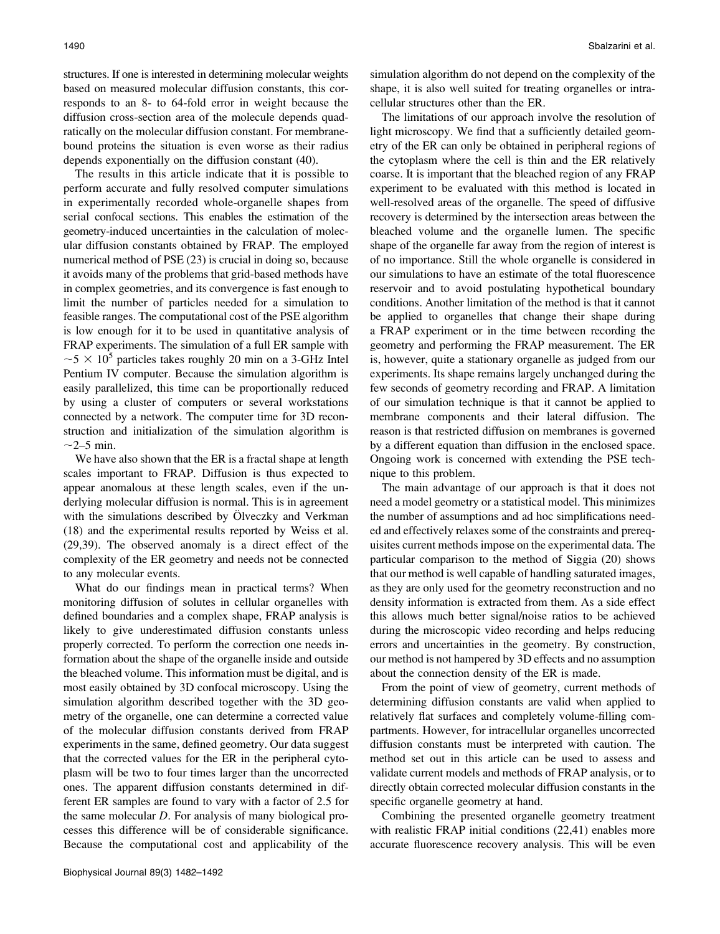structures. If one is interested in determining molecular weights based on measured molecular diffusion constants, this corresponds to an 8- to 64-fold error in weight because the diffusion cross-section area of the molecule depends quadratically on the molecular diffusion constant. For membranebound proteins the situation is even worse as their radius depends exponentially on the diffusion constant (40).

The results in this article indicate that it is possible to perform accurate and fully resolved computer simulations in experimentally recorded whole-organelle shapes from serial confocal sections. This enables the estimation of the geometry-induced uncertainties in the calculation of molecular diffusion constants obtained by FRAP. The employed numerical method of PSE (23) is crucial in doing so, because it avoids many of the problems that grid-based methods have in complex geometries, and its convergence is fast enough to limit the number of particles needed for a simulation to feasible ranges. The computational cost of the PSE algorithm is low enough for it to be used in quantitative analysis of FRAP experiments. The simulation of a full ER sample with  $\sim$  5  $\times$  10<sup>5</sup> particles takes roughly 20 min on a 3-GHz Intel Pentium IV computer. Because the simulation algorithm is easily parallelized, this time can be proportionally reduced by using a cluster of computers or several workstations connected by a network. The computer time for 3D reconstruction and initialization of the simulation algorithm is  $\sim$ 2–5 min.

We have also shown that the ER is a fractal shape at length scales important to FRAP. Diffusion is thus expected to appear anomalous at these length scales, even if the underlying molecular diffusion is normal. This is in agreement with the simulations described by Ölveczky and Verkman (18) and the experimental results reported by Weiss et al. (29,39). The observed anomaly is a direct effect of the complexity of the ER geometry and needs not be connected to any molecular events.

What do our findings mean in practical terms? When monitoring diffusion of solutes in cellular organelles with defined boundaries and a complex shape, FRAP analysis is likely to give underestimated diffusion constants unless properly corrected. To perform the correction one needs information about the shape of the organelle inside and outside the bleached volume. This information must be digital, and is most easily obtained by 3D confocal microscopy. Using the simulation algorithm described together with the 3D geometry of the organelle, one can determine a corrected value of the molecular diffusion constants derived from FRAP experiments in the same, defined geometry. Our data suggest that the corrected values for the ER in the peripheral cytoplasm will be two to four times larger than the uncorrected ones. The apparent diffusion constants determined in different ER samples are found to vary with a factor of 2.5 for the same molecular D. For analysis of many biological processes this difference will be of considerable significance. Because the computational cost and applicability of the simulation algorithm do not depend on the complexity of the shape, it is also well suited for treating organelles or intracellular structures other than the ER.

The limitations of our approach involve the resolution of light microscopy. We find that a sufficiently detailed geometry of the ER can only be obtained in peripheral regions of the cytoplasm where the cell is thin and the ER relatively coarse. It is important that the bleached region of any FRAP experiment to be evaluated with this method is located in well-resolved areas of the organelle. The speed of diffusive recovery is determined by the intersection areas between the bleached volume and the organelle lumen. The specific shape of the organelle far away from the region of interest is of no importance. Still the whole organelle is considered in our simulations to have an estimate of the total fluorescence reservoir and to avoid postulating hypothetical boundary conditions. Another limitation of the method is that it cannot be applied to organelles that change their shape during a FRAP experiment or in the time between recording the geometry and performing the FRAP measurement. The ER is, however, quite a stationary organelle as judged from our experiments. Its shape remains largely unchanged during the few seconds of geometry recording and FRAP. A limitation of our simulation technique is that it cannot be applied to membrane components and their lateral diffusion. The reason is that restricted diffusion on membranes is governed by a different equation than diffusion in the enclosed space. Ongoing work is concerned with extending the PSE technique to this problem.

The main advantage of our approach is that it does not need a model geometry or a statistical model. This minimizes the number of assumptions and ad hoc simplifications needed and effectively relaxes some of the constraints and prerequisites current methods impose on the experimental data. The particular comparison to the method of Siggia (20) shows that our method is well capable of handling saturated images, as they are only used for the geometry reconstruction and no density information is extracted from them. As a side effect this allows much better signal/noise ratios to be achieved during the microscopic video recording and helps reducing errors and uncertainties in the geometry. By construction, our method is not hampered by 3D effects and no assumption about the connection density of the ER is made.

From the point of view of geometry, current methods of determining diffusion constants are valid when applied to relatively flat surfaces and completely volume-filling compartments. However, for intracellular organelles uncorrected diffusion constants must be interpreted with caution. The method set out in this article can be used to assess and validate current models and methods of FRAP analysis, or to directly obtain corrected molecular diffusion constants in the specific organelle geometry at hand.

Combining the presented organelle geometry treatment with realistic FRAP initial conditions (22,41) enables more accurate fluorescence recovery analysis. This will be even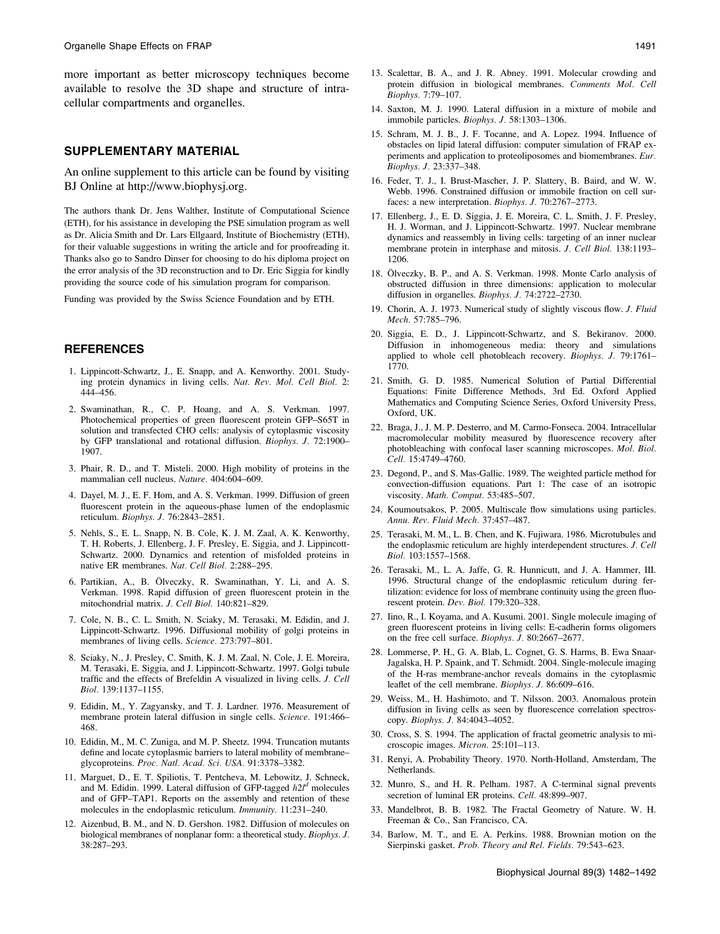more important as better microscopy techniques become available to resolve the 3D shape and structure of intracellular compartments and organelles.

## SUPPLEMENTARY MATERIAL

An online supplement to this article can be found by visiting BJ Online at http://www.biophysj.org.

The authors thank Dr. Jens Walther, Institute of Computational Science (ETH), for his assistance in developing the PSE simulation program as well as Dr. Alicia Smith and Dr. Lars Ellgaard, Institute of Biochemistry (ETH), for their valuable suggestions in writing the article and for proofreading it. Thanks also go to Sandro Dinser for choosing to do his diploma project on the error analysis of the 3D reconstruction and to Dr. Eric Siggia for kindly providing the source code of his simulation program for comparison.

Funding was provided by the Swiss Science Foundation and by ETH.

## REFERENCES

- 1. Lippincott-Schwartz, J., E. Snapp, and A. Kenworthy. 2001. Studying protein dynamics in living cells. Nat. Rev. Mol. Cell Biol. 2: 444–456.
- 2. Swaminathan, R., C. P. Hoang, and A. S. Verkman. 1997. Photochemical properties of green fluorescent protein GFP–S65T in solution and transfected CHO cells: analysis of cytoplasmic viscosity by GFP translational and rotational diffusion. Biophys. J. 72:1900– 1907.
- 3. Phair, R. D., and T. Misteli. 2000. High mobility of proteins in the mammalian cell nucleus. Nature. 404:604–609.
- 4. Dayel, M. J., E. F. Hom, and A. S. Verkman. 1999. Diffusion of green fluorescent protein in the aqueous-phase lumen of the endoplasmic reticulum. Biophys. J. 76:2843–2851.
- 5. Nehls, S., E. L. Snapp, N. B. Cole, K. J. M. Zaal, A. K. Kenworthy, T. H. Roberts, J. Ellenberg, J. F. Presley, E. Siggia, and J. Lippincott-Schwartz. 2000. Dynamics and retention of misfolded proteins in native ER membranes. Nat. Cell Biol. 2:288–295.
- 6. Partikian, A., B. Ölveczky, R. Swaminathan, Y. Li, and A. S. Verkman. 1998. Rapid diffusion of green fluorescent protein in the mitochondrial matrix. J. Cell Biol. 140:821–829.
- 7. Cole, N. B., C. L. Smith, N. Sciaky, M. Terasaki, M. Edidin, and J. Lippincott-Schwartz. 1996. Diffusional mobility of golgi proteins in membranes of living cells. Science. 273:797–801.
- 8. Sciaky, N., J. Presley, C. Smith, K. J. M. Zaal, N. Cole, J. E. Moreira, M. Terasaki, E. Siggia, and J. Lippincott-Schwartz. 1997. Golgi tubule traffic and the effects of Brefeldin A visualized in living cells. J. Cell Biol. 139:1137–1155.
- 9. Edidin, M., Y. Zagyansky, and T. J. Lardner. 1976. Measurement of membrane protein lateral diffusion in single cells. Science. 191:466– 468.
- 10. Edidin, M., M. C. Zuniga, and M. P. Sheetz. 1994. Truncation mutants define and locate cytoplasmic barriers to lateral mobility of membrane– glycoproteins. Proc. Natl. Acad. Sci. USA. 91:3378-3382.
- 11. Marguet, D., E. T. Spiliotis, T. Pentcheva, M. Lebowitz, J. Schneck, and M. Edidin. 1999. Lateral diffusion of GFP-tagged  $h2l<sup>d</sup>$  molecules and of GFP–TAP1. Reports on the assembly and retention of these molecules in the endoplasmic reticulum. Immunity. 11:231–240.
- 12. Aizenbud, B. M., and N. D. Gershon. 1982. Diffusion of molecules on biological membranes of nonplanar form: a theoretical study. Biophys. J. 38:287–293.
- 
- 13. Scalettar, B. A., and J. R. Abney. 1991. Molecular crowding and protein diffusion in biological membranes. Comments Mol. Cell Biophys. 7:79–107.
- 14. Saxton, M. J. 1990. Lateral diffusion in a mixture of mobile and immobile particles. Biophys. J. 58:1303–1306.
- 15. Schram, M. J. B., J. F. Tocanne, and A. Lopez. 1994. Influence of obstacles on lipid lateral diffusion: computer simulation of FRAP experiments and application to proteoliposomes and biomembranes. Eur. Biophys. J. 23:337–348.
- 16. Feder, T. J., I. Brust-Mascher, J. P. Slattery, B. Baird, and W. W. Webb. 1996. Constrained diffusion or immobile fraction on cell surfaces: a new interpretation. Biophys. J. 70:2767–2773.
- 17. Ellenberg, J., E. D. Siggia, J. E. Moreira, C. L. Smith, J. F. Presley, H. J. Worman, and J. Lippincott-Schwartz. 1997. Nuclear membrane dynamics and reassembly in living cells: targeting of an inner nuclear membrane protein in interphase and mitosis. J. Cell Biol. 138:1193– 1206.
- 18. Ölveczky, B. P., and A. S. Verkman. 1998. Monte Carlo analysis of obstructed diffusion in three dimensions: application to molecular diffusion in organelles. Biophys. J. 74:2722–2730.
- 19. Chorin, A. J. 1973. Numerical study of slightly viscous flow. J. Fluid Mech. 57:785–796.
- 20. Siggia, E. D., J. Lippincott-Schwartz, and S. Bekiranov. 2000. Diffusion in inhomogeneous media: theory and simulations applied to whole cell photobleach recovery. Biophys. J. 79:1761– 1770.
- 21. Smith, G. D. 1985. Numerical Solution of Partial Differential Equations: Finite Difference Methods, 3rd Ed. Oxford Applied Mathematics and Computing Science Series, Oxford University Press, Oxford, UK.
- 22. Braga, J., J. M. P. Desterro, and M. Carmo-Fonseca. 2004. Intracellular macromolecular mobility measured by fluorescence recovery after photobleaching with confocal laser scanning microscopes. Mol. Biol. Cell. 15:4749–4760.
- 23. Degond, P., and S. Mas-Gallic. 1989. The weighted particle method for convection-diffusion equations. Part 1: The case of an isotropic viscosity. Math. Comput. 53:485–507.
- 24. Koumoutsakos, P. 2005. Multiscale flow simulations using particles. Annu. Rev. Fluid Mech. 37:457–487.
- 25. Terasaki, M. M., L. B. Chen, and K. Fujiwara. 1986. Microtubules and the endoplasmic reticulum are highly interdependent structures. J. Cell Biol. 103:1557–1568.
- 26. Terasaki, M., L. A. Jaffe, G. R. Hunnicutt, and J. A. Hammer, III. 1996. Structural change of the endoplasmic reticulum during fertilization: evidence for loss of membrane continuity using the green fluorescent protein. Dev. Biol. 179:320–328.
- 27. Iino, R., I. Koyama, and A. Kusumi. 2001. Single molecule imaging of green fluorescent proteins in living cells: E-cadherin forms oligomers on the free cell surface. Biophys. J. 80:2667–2677.
- 28. Lommerse, P. H., G. A. Blab, L. Cognet, G. S. Harms, B. Ewa Snaar-Jagalska, H. P. Spaink, and T. Schmidt. 2004. Single-molecule imaging of the H-ras membrane-anchor reveals domains in the cytoplasmic leaflet of the cell membrane. Biophys. J. 86:609–616.
- 29. Weiss, M., H. Hashimoto, and T. Nilsson. 2003. Anomalous protein diffusion in living cells as seen by fluorescence correlation spectroscopy. Biophys. J. 84:4043–4052.
- 30. Cross, S. S. 1994. The application of fractal geometric analysis to microscopic images. Micron. 25:101–113.
- 31. Renyi, A. Probability Theory. 1970. North-Holland, Amsterdam, The Netherlands.
- 32. Munro, S., and H. R. Pelham. 1987. A C-terminal signal prevents secretion of luminal ER proteins. Cell. 48:899-907.
- 33. Mandelbrot, B. B. 1982. The Fractal Geometry of Nature. W. H. Freeman & Co., San Francisco, CA.
- 34. Barlow, M. T., and E. A. Perkins. 1988. Brownian motion on the Sierpinski gasket. Prob. Theory and Rel. Fields. 79:543–623.